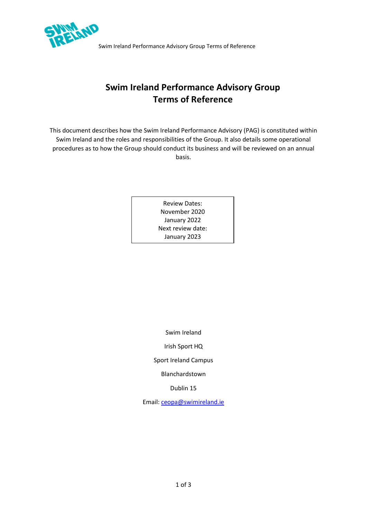

Swim Ireland Performance Advisory Group Terms of Reference

# **Swim Ireland Performance Advisory Group Terms of Reference**

This document describes how the Swim Ireland Performance Advisory (PAG) is constituted within Swim Ireland and the roles and responsibilities of the Group. It also details some operational procedures as to how the Group should conduct its business and will be reviewed on an annual basis.

> Review Dates: November 2020 January 2022 Next review date: January 2023

> > Swim Ireland

Irish Sport HQ

Sport Ireland Campus

Blanchardstown

Dublin 15

Email[: ceopa@swimireland.ie](mailto:ceopa@swimireland.ie)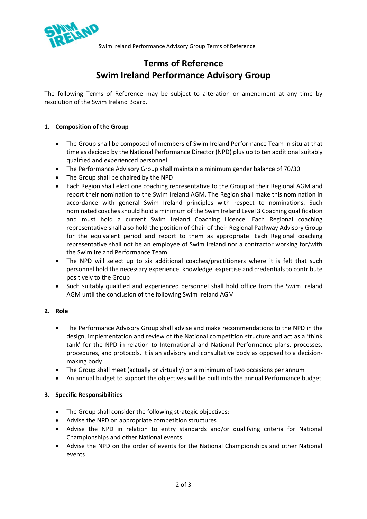

Swim Ireland Performance Advisory Group Terms of Reference

## **Terms of Reference Swim Ireland Performance Advisory Group**

The following Terms of Reference may be subject to alteration or amendment at any time by resolution of the Swim Ireland Board.

## **1. Composition of the Group**

- The Group shall be composed of members of Swim Ireland Performance Team in situ at that time as decided by the National Performance Director (NPD) plus up to ten additional suitably qualified and experienced personnel
- The Performance Advisory Group shall maintain a minimum gender balance of 70/30
- The Group shall be chaired by the NPD
- Each Region shall elect one coaching representative to the Group at their Regional AGM and report their nomination to the Swim Ireland AGM. The Region shall make this nomination in accordance with general Swim Ireland principles with respect to nominations. Such nominated coaches should hold a minimum of the Swim Ireland Level 3 Coaching qualification and must hold a current Swim Ireland Coaching Licence. Each Regional coaching representative shall also hold the position of Chair of their Regional Pathway Advisory Group for the equivalent period and report to them as appropriate. Each Regional coaching representative shall not be an employee of Swim Ireland nor a contractor working for/with the Swim Ireland Performance Team
- The NPD will select up to six additional coaches/practitioners where it is felt that such personnel hold the necessary experience, knowledge, expertise and credentials to contribute positively to the Group
- Such suitably qualified and experienced personnel shall hold office from the Swim Ireland AGM until the conclusion of the following Swim Ireland AGM

#### **2. Role**

- The Performance Advisory Group shall advise and make recommendations to the NPD in the design, implementation and review of the National competition structure and act as a 'think tank' for the NPD in relation to International and National Performance plans, processes, procedures, and protocols. It is an advisory and consultative body as opposed to a decisionmaking body
- The Group shall meet (actually or virtually) on a minimum of two occasions per annum
- An annual budget to support the objectives will be built into the annual Performance budget

#### **3. Specific Responsibilities**

- The Group shall consider the following strategic objectives:
- Advise the NPD on appropriate competition structures
- Advise the NPD in relation to entry standards and/or qualifying criteria for National Championships and other National events
- Advise the NPD on the order of events for the National Championships and other National events